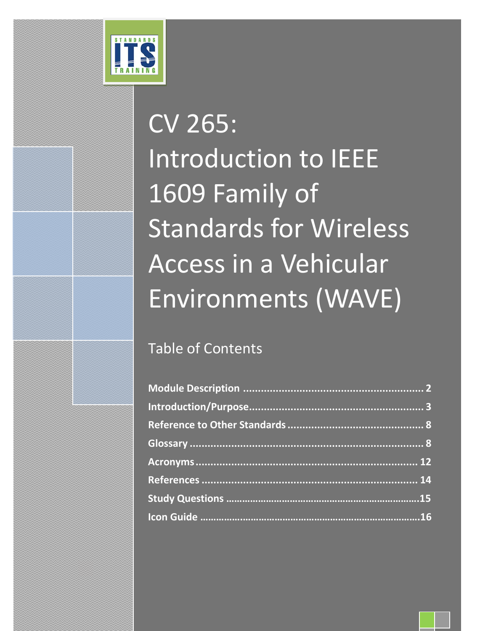

## Table of Contents

[Type the company name] | Confidential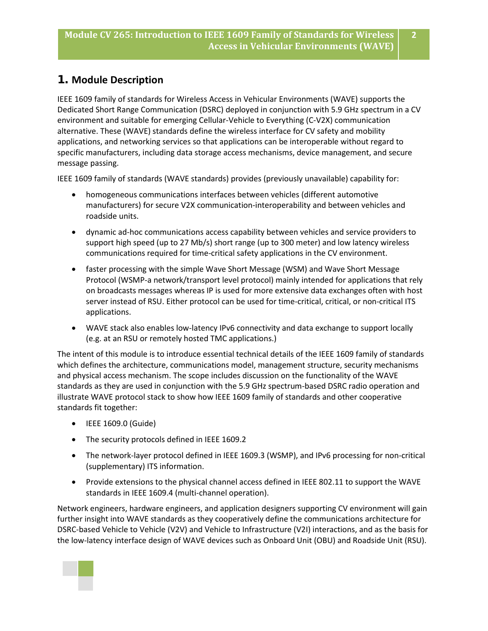## **1. Module Description**

IEEE 1609 family of standards for Wireless Access in Vehicular Environments (WAVE) supports the Dedicated Short Range Communication (DSRC) deployed in conjunction with 5.9 GHz spectrum in a CV environment and suitable for emerging Cellular-Vehicle to Everything (C-V2X) communication alternative. These (WAVE) standards define the wireless interface for CV safety and mobility applications, and networking services so that applications can be interoperable without regard to specific manufacturers, including data storage access mechanisms, device management, and secure message passing.

IEEE 1609 family of standards (WAVE standards) provides (previously unavailable) capability for:

- homogeneous communications interfaces between vehicles (different automotive manufacturers) for secure V2X communication-interoperability and between vehicles and roadside units.
- dynamic ad-hoc communications access capability between vehicles and service providers to support high speed (up to 27 Mb/s) short range (up to 300 meter) and low latency wireless communications required for time-critical safety applications in the CV environment.
- faster processing with the simple Wave Short Message (WSM) and Wave Short Message Protocol (WSMP-a network/transport level protocol) mainly intended for applications that rely on broadcasts messages whereas IP is used for more extensive data exchanges often with host server instead of RSU. Either protocol can be used for time-critical, critical, or non-critical ITS applications.
- WAVE stack also enables low-latency IPv6 connectivity and data exchange to support locally (e.g. at an RSU or remotely hosted TMC applications.)

The intent of this module is to introduce essential technical details of the IEEE 1609 family of standards which defines the architecture, communications model, management structure, security mechanisms and physical access mechanism. The scope includes discussion on the functionality of the WAVE standards as they are used in conjunction with the 5.9 GHz spectrum-based DSRC radio operation and illustrate WAVE protocol stack to show how IEEE 1609 family of standards and other cooperative standards fit together:

- IEEE 1609.0 (Guide)
- The security protocols defined in IEEE 1609.2
- The network-layer protocol defined in IEEE 1609.3 (WSMP), and IPv6 processing for non-critical (supplementary) ITS information.
- Provide extensions to the physical channel access defined in IEEE 802.11 to support the WAVE standards in IEEE 1609.4 (multi-channel operation).

Network engineers, hardware engineers, and application designers supporting CV environment will gain further insight into WAVE standards as they cooperatively define the communications architecture for DSRC-based Vehicle to Vehicle (V2V) and Vehicle to Infrastructure (V2I) interactions, and as the basis for the low-latency interface design of WAVE devices such as Onboard Unit (OBU) and Roadside Unit (RSU).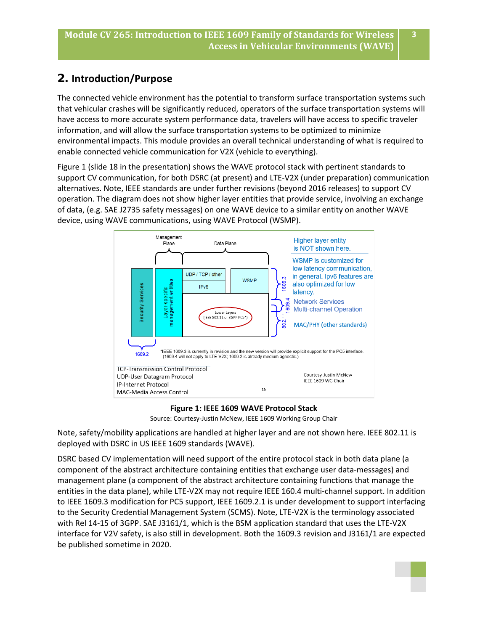## **2. Introduction/Purpose**

The connected vehicle environment has the potential to transform surface transportation systems such that vehicular crashes will be significantly reduced, operators of the surface transportation systems will have access to more accurate system performance data, travelers will have access to specific traveler information, and will allow the surface transportation systems to be optimized to minimize environmental impacts. This module provides an overall technical understanding of what is required to enable connected vehicle communication for V2X (vehicle to everything).

Figure 1 (slide 18 in the presentation) shows the WAVE protocol stack with pertinent standards to support CV communication, for both DSRC (at present) and LTE-V2X (under preparation) communication alternatives. Note, IEEE standards are under further revisions (beyond 2016 releases) to support CV operation. The diagram does not show higher layer entities that provide service, involving an exchange of data, (e.g. SAE J2735 safety messages) on one WAVE device to a similar entity on another WAVE device, using WAVE communications, using WAVE Protocol (WSMP).



**Figure 1: IEEE 1609 WAVE Protocol Stack**

Note, safety/mobility applications are handled at higher layer and are not shown here. IEEE 802.11 is deployed with DSRC in US IEEE 1609 standards (WAVE).

DSRC based CV implementation will need support of the entire protocol stack in both data plane (a component of the abstract architecture containing entities that exchange user data-messages) and management plane (a component of the abstract architecture containing functions that manage the entities in the data plane), while LTE-V2X may not require IEEE 160.4 multi-channel support. In addition to IEEE 1609.3 modification for PC5 support, IEEE 1609.2.1 is under development to support interfacing to the Security Credential Management System (SCMS). Note, LTE-V2X is the terminology associated with Rel 14-15 of 3GPP. SAE J3161/1, which is the BSM application standard that uses the LTE-V2X interface for V2V safety, is also still in development. Both the 1609.3 revision and J3161/1 are expected be published sometime in 2020.

Source: Courtesy-Justin McNew, IEEE 1609 Working Group Chair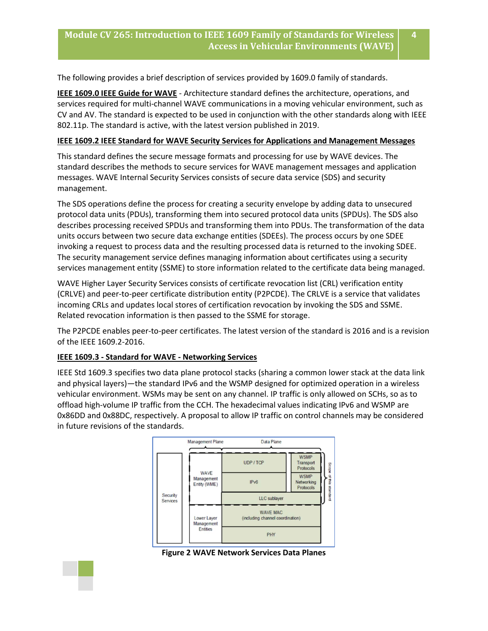**4**

The following provides a brief description of services provided by 1609.0 family of standards.

**IEEE 1609.0 IEEE Guide for WAVE** - Architecture standard defines the architecture, operations, and services required for multi-channel WAVE communications in a moving vehicular environment, such as CV and AV. The standard is expected to be used in conjunction with the other standards along with IEEE 802.11p. The standard is active, with the latest version published in 2019.

#### **IEEE 1609.2 IEEE Standard for WAVE Security Services for Applications and Management Messages**

This standard defines the secure message formats and processing for use by WAVE devices. The standard describes the methods to secure services for WAVE management messages and application messages. WAVE Internal Security Services consists of secure data service (SDS) and security management.

The SDS operations define the process for creating a security envelope by adding data to unsecured protocol data units (PDUs), transforming them into secured protocol data units (SPDUs). The SDS also describes processing received SPDUs and transforming them into PDUs. The transformation of the data units occurs between two secure data exchange entities (SDEEs). The process occurs by one SDEE invoking a request to process data and the resulting processed data is returned to the invoking SDEE. The security management service defines managing information about certificates using a security services management entity (SSME) to store information related to the certificate data being managed.

WAVE Higher Layer Security Services consists of certificate revocation list (CRL) verification entity (CRLVE) and peer-to-peer certificate distribution entity (P2PCDE). The CRLVE is a service that validates incoming CRLs and updates local stores of certification revocation by invoking the SDS and SSME. Related revocation information is then passed to the SSME for storage.

The P2PCDE enables peer-to-peer certificates. The latest version of the standard is 2016 and is a revision of the IEEE 1609.2-2016.

#### **IEEE 1609.3 - Standard for WAVE - Networking Services**

IEEE Std 1609.3 specifies two data plane protocol stacks (sharing a common lower stack at the data link and physical layers)—the standard IPv6 and the WSMP designed for optimized operation in a wireless vehicular environment. WSMs may be sent on any channel. IP traffic is only allowed on SCHs, so as to offload high-volume IP traffic from the CCH. The hexadecimal values indicating IPv6 and WSMP are 0x86DD and 0x88DC, respectively. A proposal to allow IP traffic on control channels may be considered in future revisions of the standards.



**Figure 2 WAVE Network Services Data Planes**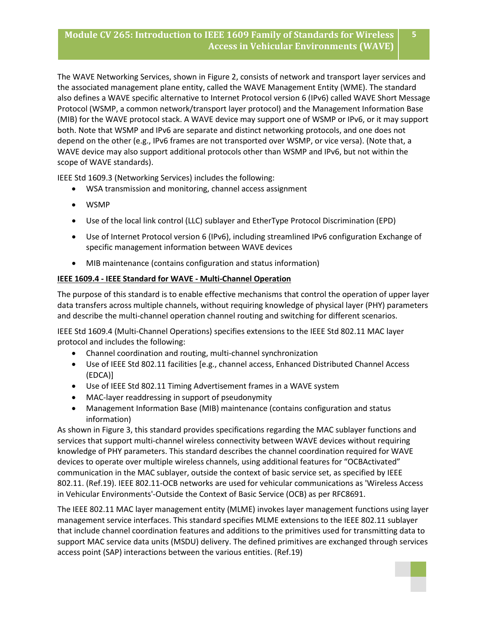The WAVE Networking Services, shown in Figure 2, consists of network and transport layer services and the associated management plane entity, called the WAVE Management Entity (WME). The standard also defines a WAVE specific alternative to Internet Protocol version 6 (IPv6) called WAVE Short Message Protocol (WSMP, a common network/transport layer protocol) and the Management Information Base (MIB) for the WAVE protocol stack. A WAVE device may support one of WSMP or IPv6, or it may support both. Note that WSMP and IPv6 are separate and distinct networking protocols, and one does not depend on the other (e.g., IPv6 frames are not transported over WSMP, or vice versa). (Note that, a WAVE device may also support additional protocols other than WSMP and IPv6, but not within the scope of WAVE standards).

IEEE Std 1609.3 (Networking Services) includes the following:

- WSA transmission and monitoring, channel access assignment
- WSMP
- Use of the local link control (LLC) sublayer and EtherType Protocol Discrimination (EPD)
- Use of Internet Protocol version 6 (IPv6), including streamlined IPv6 configuration Exchange of specific management information between WAVE devices
- MIB maintenance (contains configuration and status information)

#### **IEEE 1609.4 - IEEE Standard for WAVE - Multi-Channel Operation**

The purpose of this standard is to enable effective mechanisms that control the operation of upper layer data transfers across multiple channels, without requiring knowledge of physical layer (PHY) parameters and describe the multi-channel operation channel routing and switching for different scenarios.

IEEE Std 1609.4 (Multi-Channel Operations) specifies extensions to the IEEE Std 802.11 MAC layer protocol and includes the following:

- Channel coordination and routing, multi-channel synchronization
- Use of IEEE Std 802.11 facilities [e.g., channel access, Enhanced Distributed Channel Access (EDCA)]
- Use of IEEE Std 802.11 Timing Advertisement frames in a WAVE system
- MAC-layer readdressing in support of pseudonymity
- Management Information Base (MIB) maintenance (contains configuration and status information)

As shown in Figure 3, this standard provides specifications regarding the MAC sublayer functions and services that support multi-channel wireless connectivity between WAVE devices without requiring knowledge of PHY parameters. This standard describes the channel coordination required for WAVE devices to operate over multiple wireless channels, using additional features for "OCBActivated" communication in the MAC sublayer, outside the context of basic service set, as specified by IEEE 802.11. (Ref.19). IEEE 802.11-OCB networks are used for vehicular communications as 'Wireless Access in Vehicular Environments'-Outside the Context of Basic Service (OCB) as per RFC8691.

The IEEE 802.11 MAC layer management entity (MLME) invokes layer management functions using layer management service interfaces. This standard specifies MLME extensions to the IEEE 802.11 sublayer that include channel coordination features and additions to the primitives used for transmitting data to support MAC service data units (MSDU) delivery. The defined primitives are exchanged through services access point (SAP) interactions between the various entities. (Ref.19)



**5**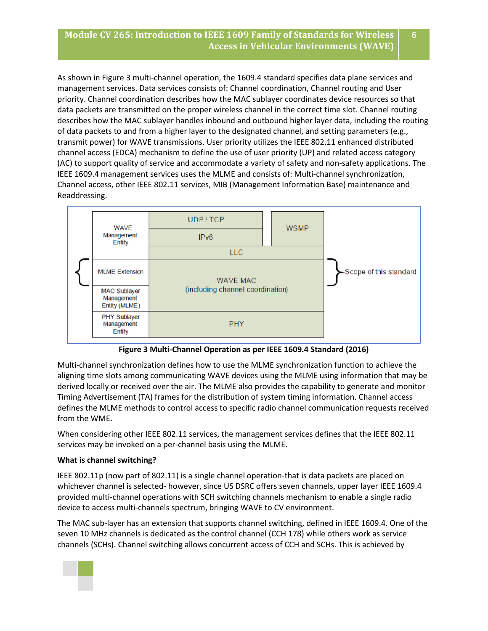**6**

As shown in Figure 3 multi-channel operation, the 1609.4 standard specifies data plane services and management services. Data services consists of: Channel coordination, Channel routing and User priority. Channel coordination describes how the MAC sublayer coordinates device resources so that data packets are transmitted on the proper wireless channel in the correct time slot. Channel routing describes how the MAC sublayer handles inbound and outbound higher layer data, including the routing of data packets to and from a higher layer to the designated channel, and setting parameters (e.g., transmit power) for WAVE transmissions. User priority utilizes the IEEE 802.11 enhanced distributed channel access (EDCA) mechanism to define the use of user priority (UP) and related access category (AC) to support quality of service and accommodate a variety of safety and non-safety applications. The IEEE 1609.4 management services uses the MLME and consists of: Multi-channel synchronization, Channel access, other IEEE 802.11 services, MIB (Management Information Base) maintenance and Readdressing.



**Figure 3 Multi-Channel Operation as per IEEE 1609.4 Standard (2016)**

Multi-channel synchronization defines how to use the MLME synchronization function to achieve the aligning time slots among communicating WAVE devices using the MLME using information that may be derived locally or received over the air. The MLME also provides the capability to generate and monitor Timing Advertisement (TA) frames for the distribution of system timing information. Channel access defines the MLME methods to control access to specific radio channel communication requests received from the WME.

When considering other IEEE 802.11 services, the management services defines that the IEEE 802.11 services may be invoked on a per-channel basis using the MLME.

#### **What is channel switching?**

IEEE 802.11p (now part of 802.11) is a single channel operation-that is data packets are placed on whichever channel is selected- however, since US DSRC offers seven channels, upper layer IEEE 1609.4 provided multi-channel operations with SCH switching channels mechanism to enable a single radio device to access multi-channels spectrum, bringing WAVE to CV environment.

The MAC sub-layer has an extension that supports channel switching, defined in IEEE 1609.4. One of the seven 10 MHz channels is dedicated as the control channel (CCH 178) while others work as service channels (SCHs). Channel switching allows concurrent access of CCH and SCHs. This is achieved by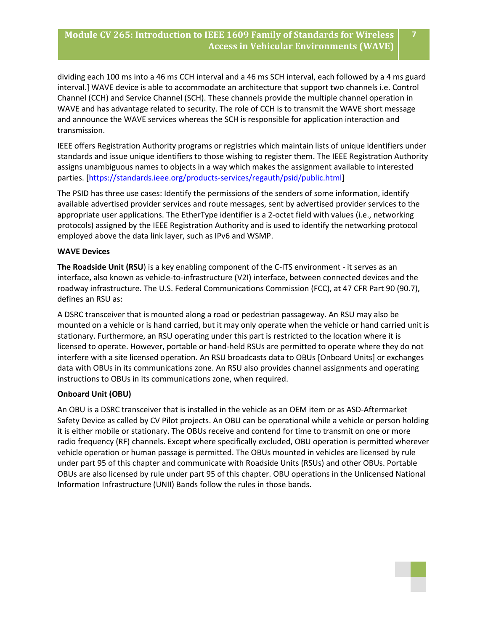dividing each 100 ms into a 46 ms CCH interval and a 46 ms SCH interval, each followed by a 4 ms guard interval.] WAVE device is able to accommodate an architecture that support two channels i.e. Control Channel (CCH) and Service Channel (SCH). These channels provide the multiple channel operation in WAVE and has advantage related to security. The role of CCH is to transmit the WAVE short message and announce the WAVE services whereas the SCH is responsible for application interaction and transmission.

IEEE offers Registration Authority programs or registries which maintain lists of unique identifiers under standards and issue unique identifiers to those wishing to register them. The IEEE Registration Authority assigns unambiguous names to objects in a way which makes the assignment available to interested parties. [\[https://standards.ieee.org/products-services/regauth/psid/public.html\]](https://standards.ieee.org/products-services/regauth/psid/public.html)

The PSID has three use cases: Identify the permissions of the senders of some information, identify available advertised provider services and route messages, sent by advertised provider services to the appropriate user applications. The EtherType identifier is a 2-octet field with values (i.e., networking protocols) assigned by the IEEE Registration Authority and is used to identify the networking protocol employed above the data link layer, such as IPv6 and WSMP.

#### **WAVE Devices**

**The Roadside Unit (RSU**) is a key enabling component of the C-ITS environment - it serves as an interface, also known as vehicle-to-infrastructure (V2I) interface, between connected devices and the roadway infrastructure. The U.S. Federal Communications Commission (FCC), at 47 CFR Part 90 (90.7), defines an RSU as:

A DSRC transceiver that is mounted along a road or pedestrian passageway. An RSU may also be mounted on a vehicle or is hand carried, but it may only operate when the vehicle or hand carried unit is stationary. Furthermore, an RSU operating under this part is restricted to the location where it is licensed to operate. However, portable or hand-held RSUs are permitted to operate where they do not interfere with a site licensed operation. An RSU broadcasts data to OBUs [Onboard Units] or exchanges data with OBUs in its communications zone. An RSU also provides channel assignments and operating instructions to OBUs in its communications zone, when required.

#### **Onboard Unit (OBU)**

An OBU is a DSRC transceiver that is installed in the vehicle as an OEM item or as ASD-Aftermarket Safety Device as called by CV Pilot projects. An OBU can be operational while a vehicle or person holding it is either mobile or stationary. The OBUs receive and contend for time to transmit on one or more radio frequency (RF) channels. Except where specifically excluded, OBU operation is permitted wherever vehicle operation or human passage is permitted. The OBUs mounted in vehicles are licensed by rule under part 95 of this chapter and communicate with Roadside Units (RSUs) and other OBUs. Portable OBUs are also licensed by rule under part 95 of this chapter. OBU operations in the Unlicensed National Information Infrastructure (UNII) Bands follow the rules in those bands.

**7**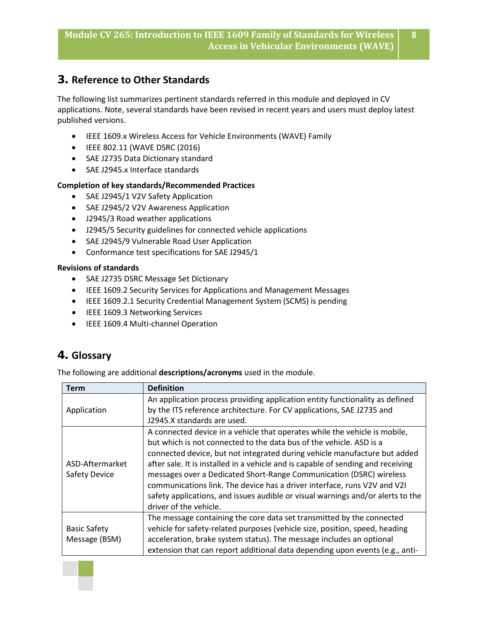## **3. Reference to Other Standards**

The following list summarizes pertinent standards referred in this module and deployed in CV applications. Note, several standards have been revised in recent years and users must deploy latest published versions.

- IEEE 1609.x Wireless Access for Vehicle Environments (WAVE) Family
- IEEE 802.11 (WAVE DSRC (2016)
- SAE J2735 Data Dictionary standard
- SAE J2945.x Interface standards

#### **Completion of key standards/Recommended Practices**

- SAE J2945/1 V2V Safety Application
- SAE J2945/2 V2V Awareness Application
- J2945/3 Road weather applications
- J2945/5 Security guidelines for connected vehicle applications
- SAE J2945/9 Vulnerable Road User Application
- Conformance test specifications for SAE J2945/1

#### **Revisions of standards**

- SAE J2735 DSRC Message Set Dictionary
- IEEE 1609.2 Security Services for Applications and Management Messages
- IEEE 1609.2.1 Security Credential Management System (SCMS) is pending
- IEEE 1609.3 Networking Services
- IEEE 1609.4 Multi-channel Operation

## **4. Glossary**

The following are additional **descriptions/acronyms** used in the module.

| Term                | <b>Definition</b>                                                                |
|---------------------|----------------------------------------------------------------------------------|
|                     | An application process providing application entity functionality as defined     |
| Application         | by the ITS reference architecture. For CV applications, SAE J2735 and            |
|                     | J2945.X standards are used.                                                      |
|                     | A connected device in a vehicle that operates while the vehicle is mobile,       |
|                     | but which is not connected to the data bus of the vehicle. ASD is a              |
|                     | connected device, but not integrated during vehicle manufacture but added        |
| ASD-Aftermarket     | after sale. It is installed in a vehicle and is capable of sending and receiving |
| Safety Device       | messages over a Dedicated Short-Range Communication (DSRC) wireless              |
|                     | communications link. The device has a driver interface, runs V2V and V2I         |
|                     | safety applications, and issues audible or visual warnings and/or alerts to the  |
|                     | driver of the vehicle.                                                           |
|                     | The message containing the core data set transmitted by the connected            |
| <b>Basic Safety</b> | vehicle for safety-related purposes (vehicle size, position, speed, heading      |
| Message (BSM)       | acceleration, brake system status). The message includes an optional             |
|                     | extension that can report additional data depending upon events (e.g., anti-     |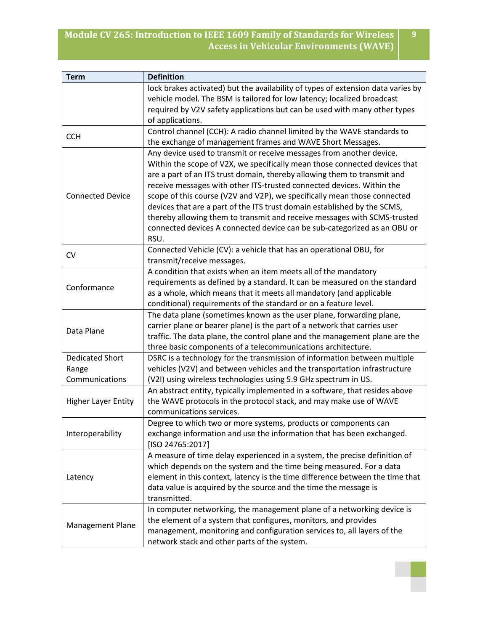| <b>Term</b>                | <b>Definition</b>                                                                |
|----------------------------|----------------------------------------------------------------------------------|
|                            | lock brakes activated) but the availability of types of extension data varies by |
|                            | vehicle model. The BSM is tailored for low latency; localized broadcast          |
|                            | required by V2V safety applications but can be used with many other types        |
|                            | of applications.                                                                 |
| <b>CCH</b>                 | Control channel (CCH): A radio channel limited by the WAVE standards to          |
|                            | the exchange of management frames and WAVE Short Messages.                       |
|                            | Any device used to transmit or receive messages from another device.             |
|                            | Within the scope of V2X, we specifically mean those connected devices that       |
|                            | are a part of an ITS trust domain, thereby allowing them to transmit and         |
|                            | receive messages with other ITS-trusted connected devices. Within the            |
| <b>Connected Device</b>    | scope of this course (V2V and V2P), we specifically mean those connected         |
|                            | devices that are a part of the ITS trust domain established by the SCMS,         |
|                            | thereby allowing them to transmit and receive messages with SCMS-trusted         |
|                            | connected devices A connected device can be sub-categorized as an OBU or         |
|                            | RSU.                                                                             |
| <b>CV</b>                  | Connected Vehicle (CV): a vehicle that has an operational OBU, for               |
|                            | transmit/receive messages.                                                       |
|                            | A condition that exists when an item meets all of the mandatory                  |
| Conformance                | requirements as defined by a standard. It can be measured on the standard        |
|                            | as a whole, which means that it meets all mandatory (and applicable              |
|                            | conditional) requirements of the standard or on a feature level.                 |
|                            | The data plane (sometimes known as the user plane, forwarding plane,             |
| Data Plane                 | carrier plane or bearer plane) is the part of a network that carries user        |
|                            | traffic. The data plane, the control plane and the management plane are the      |
|                            | three basic components of a telecommunications architecture.                     |
| <b>Dedicated Short</b>     | DSRC is a technology for the transmission of information between multiple        |
| Range                      | vehicles (V2V) and between vehicles and the transportation infrastructure        |
| Communications             | (V2I) using wireless technologies using 5.9 GHz spectrum in US.                  |
|                            | An abstract entity, typically implemented in a software, that resides above      |
| <b>Higher Layer Entity</b> | the WAVE protocols in the protocol stack, and may make use of WAVE               |
|                            | communications services.                                                         |
|                            | Degree to which two or more systems, products or components can                  |
| Interoperability           | exchange information and use the information that has been exchanged.            |
|                            | [ISO 24765:2017]                                                                 |
|                            | A measure of time delay experienced in a system, the precise definition of       |
|                            | which depends on the system and the time being measured. For a data              |
| Latency                    | element in this context, latency is the time difference between the time that    |
|                            | data value is acquired by the source and the time the message is                 |
|                            | transmitted.                                                                     |
|                            | In computer networking, the management plane of a networking device is           |
| Management Plane           | the element of a system that configures, monitors, and provides                  |
|                            | management, monitoring and configuration services to, all layers of the          |
|                            | network stack and other parts of the system.                                     |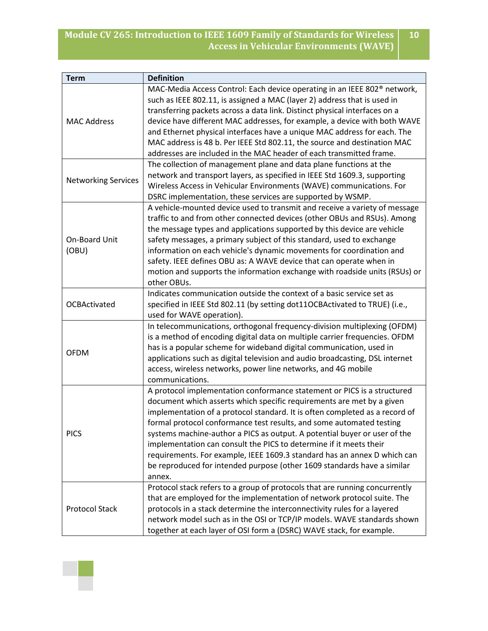| <b>Term</b>                | <b>Definition</b>                                                                    |
|----------------------------|--------------------------------------------------------------------------------------|
| <b>MAC Address</b>         | MAC-Media Access Control: Each device operating in an IEEE 802 <sup>®</sup> network, |
|                            | such as IEEE 802.11, is assigned a MAC (layer 2) address that is used in             |
|                            | transferring packets across a data link. Distinct physical interfaces on a           |
|                            | device have different MAC addresses, for example, a device with both WAVE            |
|                            | and Ethernet physical interfaces have a unique MAC address for each. The             |
|                            | MAC address is 48 b. Per IEEE Std 802.11, the source and destination MAC             |
|                            | addresses are included in the MAC header of each transmitted frame.                  |
|                            | The collection of management plane and data plane functions at the                   |
| <b>Networking Services</b> | network and transport layers, as specified in IEEE Std 1609.3, supporting            |
|                            | Wireless Access in Vehicular Environments (WAVE) communications. For                 |
|                            | DSRC implementation, these services are supported by WSMP.                           |
|                            | A vehicle-mounted device used to transmit and receive a variety of message           |
|                            | traffic to and from other connected devices (other OBUs and RSUs). Among             |
|                            | the message types and applications supported by this device are vehicle              |
| On-Board Unit              | safety messages, a primary subject of this standard, used to exchange                |
| (OBU)                      | information on each vehicle's dynamic movements for coordination and                 |
|                            | safety. IEEE defines OBU as: A WAVE device that can operate when in                  |
|                            | motion and supports the information exchange with roadside units (RSUs) or           |
|                            | other OBUs.                                                                          |
|                            | Indicates communication outside the context of a basic service set as                |
| <b>OCBActivated</b>        | specified in IEEE Std 802.11 (by setting dot11OCBActivated to TRUE) (i.e.,           |
|                            | used for WAVE operation).                                                            |
|                            | In telecommunications, orthogonal frequency-division multiplexing (OFDM)             |
|                            | is a method of encoding digital data on multiple carrier frequencies. OFDM           |
| <b>OFDM</b>                | has is a popular scheme for wideband digital communication, used in                  |
|                            | applications such as digital television and audio broadcasting, DSL internet         |
|                            | access, wireless networks, power line networks, and 4G mobile                        |
|                            | communications.                                                                      |
|                            | A protocol implementation conformance statement or PICS is a structured              |
|                            | document which asserts which specific requirements are met by a given                |
|                            | implementation of a protocol standard. It is often completed as a record of          |
|                            | formal protocol conformance test results, and some automated testing                 |
| <b>PICS</b>                | systems machine-author a PICS as output. A potential buyer or user of the            |
|                            | implementation can consult the PICS to determine if it meets their                   |
|                            | requirements. For example, IEEE 1609.3 standard has an annex D which can             |
|                            | be reproduced for intended purpose (other 1609 standards have a similar              |
|                            | annex.                                                                               |
|                            | Protocol stack refers to a group of protocols that are running concurrently          |
|                            | that are employed for the implementation of network protocol suite. The              |
| <b>Protocol Stack</b>      | protocols in a stack determine the interconnectivity rules for a layered             |
|                            | network model such as in the OSI or TCP/IP models. WAVE standards shown              |
|                            | together at each layer of OSI form a (DSRC) WAVE stack, for example.                 |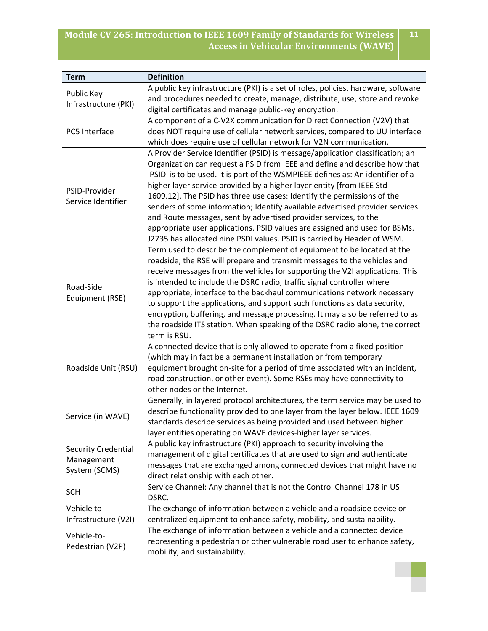| <b>Term</b>                                               | <b>Definition</b>                                                                                                                                                                                                                                                                                                                                                                                                                                                                                                                                                                                                                                                                                              |
|-----------------------------------------------------------|----------------------------------------------------------------------------------------------------------------------------------------------------------------------------------------------------------------------------------------------------------------------------------------------------------------------------------------------------------------------------------------------------------------------------------------------------------------------------------------------------------------------------------------------------------------------------------------------------------------------------------------------------------------------------------------------------------------|
| Public Key<br>Infrastructure (PKI)                        | A public key infrastructure (PKI) is a set of roles, policies, hardware, software<br>and procedures needed to create, manage, distribute, use, store and revoke<br>digital certificates and manage public-key encryption.                                                                                                                                                                                                                                                                                                                                                                                                                                                                                      |
| PC5 Interface                                             | A component of a C-V2X communication for Direct Connection (V2V) that<br>does NOT require use of cellular network services, compared to UU interface<br>which does require use of cellular network for V2N communication.                                                                                                                                                                                                                                                                                                                                                                                                                                                                                      |
| PSID-Provider<br>Service Identifier                       | A Provider Service Identifier (PSID) is message/application classification; an<br>Organization can request a PSID from IEEE and define and describe how that<br>PSID is to be used. It is part of the WSMPIEEE defines as: An identifier of a<br>higher layer service provided by a higher layer entity [from IEEE Std<br>1609.12]. The PSID has three use cases: Identify the permissions of the<br>senders of some information; Identify available advertised provider services<br>and Route messages, sent by advertised provider services, to the<br>appropriate user applications. PSID values are assigned and used for BSMs.<br>J2735 has allocated nine PSDI values. PSID is carried by Header of WSM. |
| Road-Side<br>Equipment (RSE)                              | Term used to describe the complement of equipment to be located at the<br>roadside; the RSE will prepare and transmit messages to the vehicles and<br>receive messages from the vehicles for supporting the V2I applications. This<br>is intended to include the DSRC radio, traffic signal controller where<br>appropriate, interface to the backhaul communications network necessary<br>to support the applications, and support such functions as data security,<br>encryption, buffering, and message processing. It may also be referred to as<br>the roadside ITS station. When speaking of the DSRC radio alone, the correct<br>term is RSU.                                                           |
| Roadside Unit (RSU)                                       | A connected device that is only allowed to operate from a fixed position<br>(which may in fact be a permanent installation or from temporary<br>equipment brought on-site for a period of time associated with an incident,<br>road construction, or other event). Some RSEs may have connectivity to<br>other nodes or the Internet.                                                                                                                                                                                                                                                                                                                                                                          |
| Service (in WAVE)                                         | Generally, in layered protocol architectures, the term service may be used to<br>describe functionality provided to one layer from the layer below. IEEE 1609<br>standards describe services as being provided and used between higher<br>layer entities operating on WAVE devices-higher layer services.                                                                                                                                                                                                                                                                                                                                                                                                      |
| <b>Security Credential</b><br>Management<br>System (SCMS) | A public key infrastructure (PKI) approach to security involving the<br>management of digital certificates that are used to sign and authenticate<br>messages that are exchanged among connected devices that might have no<br>direct relationship with each other.                                                                                                                                                                                                                                                                                                                                                                                                                                            |
| <b>SCH</b>                                                | Service Channel: Any channel that is not the Control Channel 178 in US<br>DSRC.                                                                                                                                                                                                                                                                                                                                                                                                                                                                                                                                                                                                                                |
| Vehicle to<br>Infrastructure (V2I)                        | The exchange of information between a vehicle and a roadside device or<br>centralized equipment to enhance safety, mobility, and sustainability.                                                                                                                                                                                                                                                                                                                                                                                                                                                                                                                                                               |
| Vehicle-to-<br>Pedestrian (V2P)                           | The exchange of information between a vehicle and a connected device<br>representing a pedestrian or other vulnerable road user to enhance safety,<br>mobility, and sustainability.                                                                                                                                                                                                                                                                                                                                                                                                                                                                                                                            |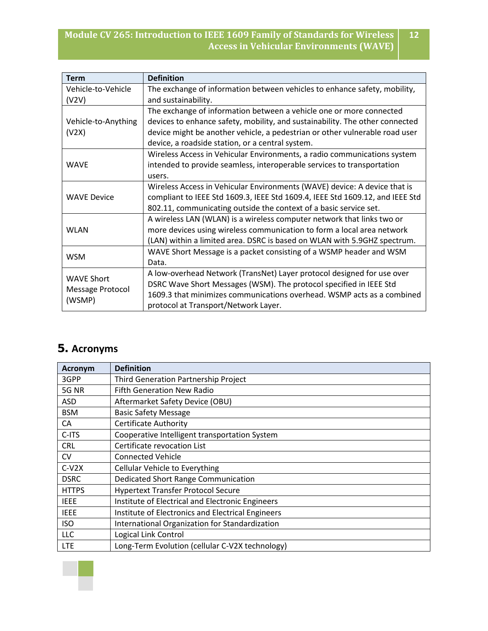| <b>Term</b>             | <b>Definition</b>                                                             |
|-------------------------|-------------------------------------------------------------------------------|
| Vehicle-to-Vehicle      | The exchange of information between vehicles to enhance safety, mobility,     |
| (V2V)                   | and sustainability.                                                           |
|                         | The exchange of information between a vehicle one or more connected           |
| Vehicle-to-Anything     | devices to enhance safety, mobility, and sustainability. The other connected  |
| (V2X)                   | device might be another vehicle, a pedestrian or other vulnerable road user   |
|                         | device, a roadside station, or a central system.                              |
| <b>WAVE</b>             | Wireless Access in Vehicular Environments, a radio communications system      |
|                         | intended to provide seamless, interoperable services to transportation        |
|                         | users.                                                                        |
|                         | Wireless Access in Vehicular Environments (WAVE) device: A device that is     |
| <b>WAVE Device</b>      | compliant to IEEE Std 1609.3, IEEE Std 1609.4, IEEE Std 1609.12, and IEEE Std |
|                         | 802.11, communicating outside the context of a basic service set.             |
|                         | A wireless LAN (WLAN) is a wireless computer network that links two or        |
| <b>WLAN</b>             | more devices using wireless communication to form a local area network        |
|                         | (LAN) within a limited area. DSRC is based on WLAN with 5.9GHZ spectrum.      |
| <b>WSM</b>              | WAVE Short Message is a packet consisting of a WSMP header and WSM            |
|                         | Data.                                                                         |
| <b>WAVE Short</b>       | A low-overhead Network (TransNet) Layer protocol designed for use over        |
|                         | DSRC Wave Short Messages (WSM). The protocol specified in IEEE Std            |
| <b>Message Protocol</b> | 1609.3 that minimizes communications overhead. WSMP acts as a combined        |
| (WSMP)                  | protocol at Transport/Network Layer.                                          |

## **5. Acronyms**

| <b>Acronym</b> | <b>Definition</b>                                 |
|----------------|---------------------------------------------------|
| 3GPP           | Third Generation Partnership Project              |
| 5G NR          | <b>Fifth Generation New Radio</b>                 |
| <b>ASD</b>     | Aftermarket Safety Device (OBU)                   |
| <b>BSM</b>     | <b>Basic Safety Message</b>                       |
| CA             | <b>Certificate Authority</b>                      |
| C-ITS          | Cooperative Intelligent transportation System     |
| <b>CRL</b>     | Certificate revocation List                       |
| <b>CV</b>      | <b>Connected Vehicle</b>                          |
| $C-V2X$        | <b>Cellular Vehicle to Everything</b>             |
| <b>DSRC</b>    | Dedicated Short Range Communication               |
| <b>HTTPS</b>   | <b>Hypertext Transfer Protocol Secure</b>         |
| <b>IEEE</b>    | Institute of Electrical and Electronic Engineers  |
| <b>IEEE</b>    | Institute of Electronics and Electrical Engineers |
| <b>ISO</b>     | International Organization for Standardization    |
| <b>LLC</b>     | Logical Link Control                              |
| <b>LTE</b>     | Long-Term Evolution (cellular C-V2X technology)   |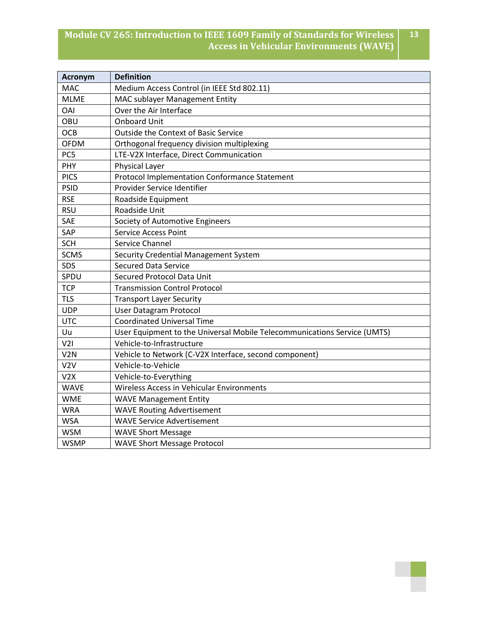| <b>Acronym</b>   | <b>Definition</b>                                                        |
|------------------|--------------------------------------------------------------------------|
| <b>MAC</b>       | Medium Access Control (in IEEE Std 802.11)                               |
| <b>MLME</b>      | MAC sublayer Management Entity                                           |
| <b>OAI</b>       | Over the Air Interface                                                   |
| OBU              | <b>Onboard Unit</b>                                                      |
| OCB              | <b>Outside the Context of Basic Service</b>                              |
| <b>OFDM</b>      | Orthogonal frequency division multiplexing                               |
| PC5              | LTE-V2X Interface, Direct Communication                                  |
| PHY              | Physical Layer                                                           |
| <b>PICS</b>      | Protocol Implementation Conformance Statement                            |
| <b>PSID</b>      | Provider Service Identifier                                              |
| <b>RSE</b>       | Roadside Equipment                                                       |
| <b>RSU</b>       | Roadside Unit                                                            |
| SAE              | Society of Automotive Engineers                                          |
| SAP              | Service Access Point                                                     |
| <b>SCH</b>       | Service Channel                                                          |
| <b>SCMS</b>      | Security Credential Management System                                    |
| SDS              | <b>Secured Data Service</b>                                              |
| SPDU             | <b>Secured Protocol Data Unit</b>                                        |
| <b>TCP</b>       | <b>Transmission Control Protocol</b>                                     |
| <b>TLS</b>       | <b>Transport Layer Security</b>                                          |
| <b>UDP</b>       | <b>User Datagram Protocol</b>                                            |
| <b>UTC</b>       | <b>Coordinated Universal Time</b>                                        |
| Uu               | User Equipment to the Universal Mobile Telecommunications Service (UMTS) |
| V2I              | Vehicle-to-Infrastructure                                                |
| V <sub>2</sub> N | Vehicle to Network (C-V2X Interface, second component)                   |
| V2V              | Vehicle-to-Vehicle                                                       |
| V2X              | Vehicle-to-Everything                                                    |
| <b>WAVE</b>      | Wireless Access in Vehicular Environments                                |
| <b>WME</b>       | <b>WAVE Management Entity</b>                                            |
| <b>WRA</b>       | <b>WAVE Routing Advertisement</b>                                        |
| <b>WSA</b>       | <b>WAVE Service Advertisement</b>                                        |
| <b>WSM</b>       | <b>WAVE Short Message</b>                                                |
| <b>WSMP</b>      | <b>WAVE Short Message Protocol</b>                                       |

**13**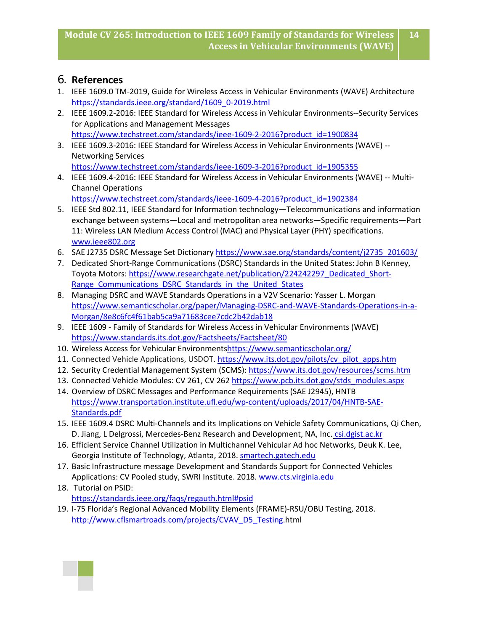**14**

## 6. **References**

- 1. IEEE 1609.0 TM-2019, Guide for Wireless Access in Vehicular Environments (WAVE) Architecture [https://standards.ieee.org/standard/1609\\_0-2019.html](https://standards.ieee.org/standard/1609_0-2019.html)
- 2. IEEE 1609.2-2016: IEEE Standard for Wireless Access in Vehicular Environments--Security Services for Applications and Management Messages [https://www.techstreet.com/standards/ieee-1609-2-2016?product\\_id=1900834](https://www.techstreet.com/standards/ieee-1609-2-2016?product_id=1900834)
- 3. IEEE 1609.3-2016: IEEE Standard for Wireless Access in Vehicular Environments (WAVE) -- Networking Services [https://www.techstreet.com/standards/ieee-1609-3-2016?product\\_id=1905355](https://www.techstreet.com/standards/ieee-1609-3-2016?product_id=1905355)
- 4. IEEE 1609.4-2016: IEEE Standard for Wireless Access in Vehicular Environments (WAVE) -- Multi-Channel Operations

[https://www.techstreet.com/standards/ieee-1609-4-2016?product\\_id=1902384](https://www.techstreet.com/standards/ieee-1609-4-2016?product_id=1902384)

- 5. IEEE Std 802.11, IEEE Standard for Information technology—Telecommunications and information exchange between systems—Local and metropolitan area networks—Specific requirements—Part 11: Wireless LAN Medium Access Control (MAC) and Physical Layer (PHY) specifications. [www.ieee802.org](https://www.google.com/url?sa=t&rct=j&q=&esrc=s&source=web&cd=1&cad=rja&uact=8&ved=2ahUKEwiOpdH8larnAhVOJt8KHbGmAa8QFjAAegQIBhAB&url=http%3A%2F%2Fwww.ieee802.org%2F11%2FPARs%2FP802_11bd_PAR_Detail.pdf&usg=AOvVaw34GIavjE8VIzn5zwsIxc42)
- 6. SAE J2735 DSRC Message Set Dictionar[y https://www.sae.org/standards/content/j2735\\_201603/](https://www.sae.org/standards/content/j2735_201603/)
- 7. Dedicated Short-Range Communications (DSRC) Standards in the United States: John B Kenney, Toyota Motors: [https://www.researchgate.net/publication/224242297\\_Dedicated\\_Short-](https://www.researchgate.net/publication/224242297_Dedicated_Short-Range_Communications_DSRC_Standards_in_the_United_States)Range Communications\_DSRC\_Standards\_in\_the\_United\_States
- 8. Managing DSRC and WAVE Standards Operations in a V2V Scenario: Yasser L. Morgan [https://www.semanticscholar.org/paper/Managing-DSRC-and-WAVE-Standards-Operations-in-a-](https://www.semanticscholar.org/paper/Managing-DSRC-and-WAVE-Standards-Operations-in-a-Morgan/8e8c6fc4f61bab5ca9a71683cee7cdc2b42dab18)[Morgan/8e8c6fc4f61bab5ca9a71683cee7cdc2b42dab18](https://www.semanticscholar.org/paper/Managing-DSRC-and-WAVE-Standards-Operations-in-a-Morgan/8e8c6fc4f61bab5ca9a71683cee7cdc2b42dab18)
- 9. IEEE 1609 Family of Standards for Wireless Access in Vehicular Environments (WAVE) <https://www.standards.its.dot.gov/Factsheets/Factsheet/80>
- 10. Wireless Access for Vehicular Environment[shttps://www.semanticscholar.org/](https://www.semanticscholar.org/)
- 11. Connected Vehicle Applications, USDOT. [https://www.its.dot.gov/pilots/cv\\_pilot\\_apps.htm](https://www.its.dot.gov/pilots/cv_pilot_apps.htm)
- 12. Security Credential Management System (SCMS):<https://www.its.dot.gov/resources/scms.htm>
- 13. Connected Vehicle Modules: CV 261, CV 262 [https://www.pcb.its.dot.gov/stds\\_modules.aspx](https://www.pcb.its.dot.gov/stds_modules.aspx)
- 14. Overview of DSRC Messages and Performance Requirements (SAE J2945), HNTB [https://www.transportation.institute.ufl.edu/wp-content/uploads/2017/04/HNTB-SAE-](https://www.transportation.institute.ufl.edu/wp-content/uploads/2017/04/HNTB-SAE-Standards.pdf)[Standards.pdf](https://www.transportation.institute.ufl.edu/wp-content/uploads/2017/04/HNTB-SAE-Standards.pdf)
- 15. IEEE 1609.4 DSRC Multi-Channels and its Implications on Vehicle Safety Communications, Qi Chen, D. Jiang, L Delgrossi, Mercedes-Benz Research and Development, NA, Inc. csi.dgist.ac.kr
- 16. Efficient Service Channel Utilization in Multichannel Vehicular Ad hoc Networks, Deuk K. Lee, Georgia Institute of Technology, Atlanta, 2018. [smartech.gatech.edu](https://www.google.com/url?sa=t&rct=j&q=&esrc=s&source=web&cd=2&cad=rja&uact=8&ved=2ahUKEwjantmGqqnnAhUxhHIEHXyjCmUQFjABegQIBRAB&url=https%3A%2F%2Fsmartech.gatech.edu%2Fhandle%2F1853%2F59815&usg=AOvVaw0QfwjKqPp-lZcY1KP41e7O)
- 17. Basic Infrastructure message Development and Standards Support for Connected Vehicles Applications: CV Pooled study, SWRI Institute. 2018. [www.cts.virginia.edu](http://www.cts.virginia.edu/)
- 18. Tutorial on PSID: [https://standards.ieee.org/faqs/regauth.html#psid](https://standards.ieee.org/faqs/regauth.html%23psid)
- 19. I-75 Florida's Regional Advanced Mobility Elements (FRAME)-RSU/OBU Testing, 2018. [http://www.cflsmartroads.com/projects/CVAV\\_D5\\_Testing](http://www.cflsmartroads.com/projects/CVAV_D5_Testing)[.html](http://www.cflsmartroads.com/projects/CVAV_D5_Testing.html)

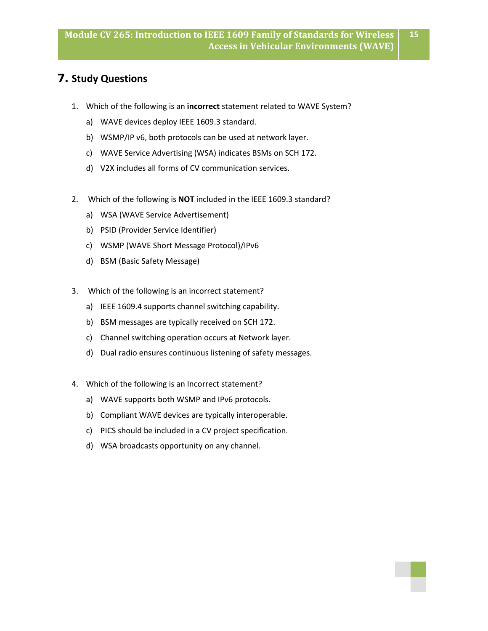**15**

## **7. Study Questions**

- 1. Which of the following is an **incorrect** statement related to WAVE System?
	- a) WAVE devices deploy IEEE 1609.3 standard.
	- b) WSMP/IP v6, both protocols can be used at network layer.
	- c) WAVE Service Advertising (WSA) indicates BSMs on SCH 172.
	- d) V2X includes all forms of CV communication services.
- 2. Which of the following is **NOT** included in the IEEE 1609.3 standard?
	- a) WSA (WAVE Service Advertisement)
	- b) PSID (Provider Service Identifier)
	- c) WSMP (WAVE Short Message Protocol)/IPv6
	- d) BSM (Basic Safety Message)
- 3. Which of the following is an incorrect statement?
	- a) IEEE 1609.4 supports channel switching capability.
	- b) BSM messages are typically received on SCH 172.
	- c) Channel switching operation occurs at Network layer.
	- d) Dual radio ensures continuous listening of safety messages.
- 4. Which of the following is an Incorrect statement?
	- a) WAVE supports both WSMP and IPv6 protocols.
	- b) Compliant WAVE devices are typically interoperable.
	- c) PICS should be included in a CV project specification.
	- d) WSA broadcasts opportunity on any channel.